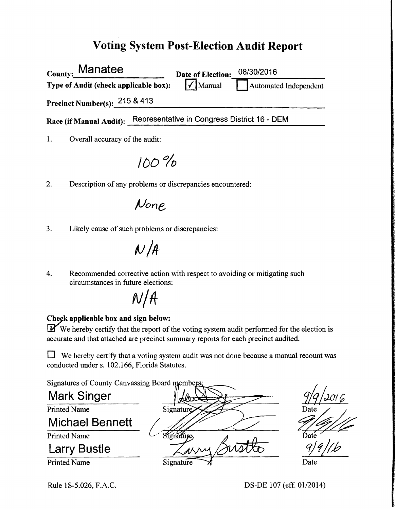### Voting System Post-Election Audit Report

| <sub>County:</sub> Manatee            | Date of Election:                            | 08/30/2016            |
|---------------------------------------|----------------------------------------------|-----------------------|
| Type of Audit (check applicable box): | $\sqrt{\ }$ Manual                           | Automated Independent |
| Precinct Number(s): $215 \& 413$      |                                              |                       |
| Race (if Manual Audit):               | Representative in Congress District 16 - DEM |                       |
|                                       |                                              |                       |

1. Overall accuracy of the audit:

IDO *'7'0* 

2. Description of any problems or discrepancies encountered:

JJone

3. Likely cause of such problems or discrepancies:

 $N/A$ 

4. Recommended corrective action with respect to avoiding or mitigating such circumstances in future elections:

 $N/A$ 

#### Check applicable box and sign below:

 $\mathbf{\mathbf{F}}$  We hereby certify that the report of the voting system audit performed for the election is accurate and that attached are precinct summary reports for each precinct audited.

 $\Box$  We hereby certify that a voting system audit was not done because a manual recount was conducted under s. 102.166, Florida Statutes.

Signatures of County Canvassing Board members

Mark Singer Michael Bennett Larry Bustle  $\frac{1}{100}$ Signature Date

9/9/*lb* 

 $Signature \rightarrow$  Date

# Printed Name

Printed Name

Printed Name

Rule 1 S-5.026, F.A.C. DS-DE 107 (eff. 01/2014)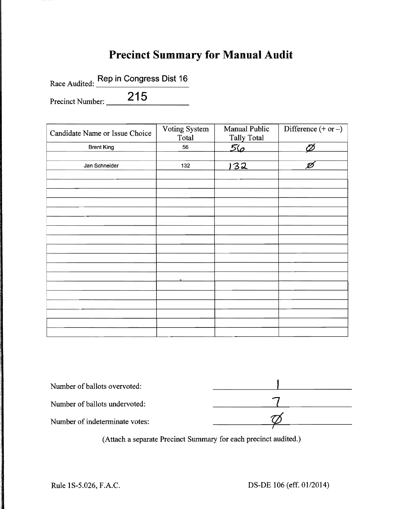### **Precinct Summary for Manual Audit**

Race Audited: Rep in Congress Dist 16

Precinct Number: 215

| Candidate Name or Issue Choice | Voting System<br>Total | Manual Public<br>Tally Total | Difference $(+ or -)$ |
|--------------------------------|------------------------|------------------------------|-----------------------|
| <b>Brent King</b>              | 56                     | <u>56</u>                    | Ø                     |
|                                |                        |                              |                       |
| Jan Schneider                  | 132                    | 132                          | Ø                     |
|                                |                        |                              |                       |
|                                |                        |                              |                       |
|                                |                        |                              |                       |
|                                |                        |                              |                       |
|                                |                        |                              |                       |
|                                |                        |                              |                       |
|                                |                        |                              |                       |
|                                |                        |                              |                       |
|                                |                        |                              |                       |
|                                |                        |                              |                       |
|                                |                        |                              |                       |
|                                |                        |                              |                       |
|                                |                        |                              |                       |
|                                |                        |                              |                       |
|                                |                        |                              |                       |
|                                |                        |                              |                       |
|                                |                        |                              |                       |
|                                |                        |                              |                       |

| Number of ballots overvoted:   |  |
|--------------------------------|--|
| Number of ballots undervoted:  |  |
| Number of indeterminate votes: |  |
|                                |  |

(Attach a separate Precinct Summary for each precinct audited.)

在这里的时候,我们的时候,我们的时候,我们的时候,我们的时候,我们的时候,我们的时候,我们的时候,我们的时候,我们的时候,我们的时候,我们的时候,我们的时候,我们<br>第232章 我们的时候,我们的时候,我们的时候,我们的时候,我们的时候,我们的时候,我们的时候,我们的时候,我们的时候,我们的时候,我们的时候,我们的时候,我们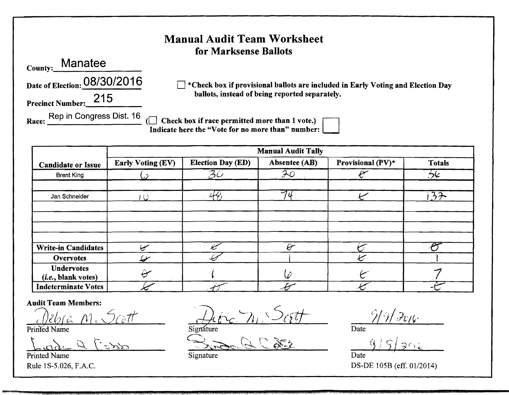#### **Manual Audit Team Worksheet** for Marksense Ballots

Manatee County:

Precinct Number: 215

Date of Election: 08/30/2016

 $\Box$  \*Check box if provisional ballots are included in Early Voting and Election Day ballots, instead of being reported separately.

Race: Rep in Congress Dist. 16

□ Check box if race permitted more than 1 vote.)<br>Indicate here the "Vote for no more than" number:

|                                                   |                                |                                                | <b>Manual Audit Tally</b>           |                   |               |
|---------------------------------------------------|--------------------------------|------------------------------------------------|-------------------------------------|-------------------|---------------|
| <b>Candidate or Issue</b>                         | <b>Early Voting (EV)</b>       | <b>Election Day (ED)</b>                       | Absentee (AB)                       | Provisional (PV)* | <b>Totals</b> |
| <b>Brent King</b>                                 |                                | $\overline{\mathcal{Z}}\overline{\mathcal{O}}$ | 70                                  |                   | عارفح         |
| Jan Schneider                                     |                                | لمكمك                                          | 7 <sub>u</sub>                      |                   | 32            |
|                                                   |                                |                                                |                                     |                   |               |
|                                                   |                                |                                                |                                     |                   |               |
| <b>Write-in Candidates</b>                        | ىپ                             |                                                | $\theta^{\!\scriptscriptstyle\! -}$ |                   |               |
| <b>Overvotes</b>                                  | سمليك                          |                                                |                                     | ميما              |               |
| <b>Undervotes</b><br>( <i>i.e.</i> , blank votes) | $\hat{\boldsymbol{\varTheta}}$ |                                                |                                     |                   |               |
| <b>Indeterminate Votes</b>                        |                                |                                                |                                     |                   |               |

**Audit Team Members:** 

Printed Name

**Printed Name** Rule 1S-5.026, F.A.C.

Signature

Signature

Date

Date DS-DE 105B (eff. 01/2014)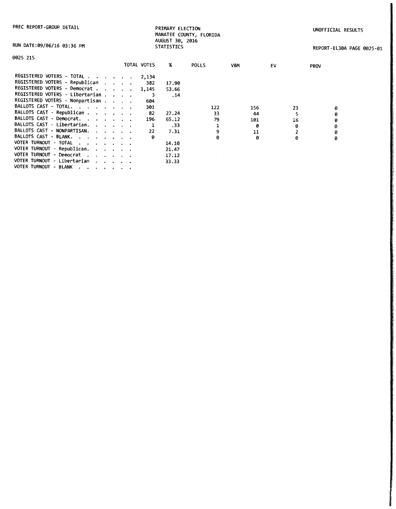PRIMARY ELECTION MANATEE COUNTY, FLORIDA AUGUST 30, 2016 STATISTICS

UNOFFICIAL RESULTS

RUN DATE:09/06/16 03:36 PM

REPORT-EL30A PAGE 0025-01

| Ē<br>aо |  |
|---------|--|
|---------|--|

| ,,,,,,,,                                                              |  |             |       |       |            |    |             |
|-----------------------------------------------------------------------|--|-------------|-------|-------|------------|----|-------------|
|                                                                       |  | TOTAL VOTES | x     | POLLS | <b>VBM</b> | EV | <b>PROV</b> |
| REGISTERED VOTERS - TOTAL                                             |  | 2,134       |       |       |            |    |             |
| REGISTERED VOTERS - Republican                                        |  | 382         | 17.90 |       |            |    |             |
| REGISTERED VOTERS - Democrat                                          |  | 1.145       | 53.66 |       |            |    |             |
| REGISTERED VOTERS - Libertarian                                       |  |             | .14   |       |            |    |             |
| REGISTERED VOTERS - Nonpartisan                                       |  | 604         |       |       |            |    |             |
| BALLOTS CAST - TOTAL.                                                 |  | 301         |       | 122   | 156        | 23 | ø           |
| BALLOTS CAST - Republican                                             |  | 82          | 27.24 | 33    | 44         |    | 0           |
| BALLOTS CAST - Democrat.                                              |  | 196         | 65.12 | 79    | 101        | 16 | 0           |
| BALLOTS CAST - Libertarian.                                           |  |             | .33   |       | ø          | ø  | ø           |
| BALLOTS CAST - NONPARTISAN.                                           |  | 22          | 7.31  | 9     | 11         |    | 0           |
| BALLOTS CAST - BLANK.                                                 |  | ø           |       | ø     | ø          | ø  | 0           |
| VOTER TURNOUT - TOTAL                                                 |  |             | 14.10 |       |            |    |             |
| VOTER TURNOUT - Republican.                                           |  |             | 21.47 |       |            |    |             |
| VOTER TURNOUT - Democrat                                              |  |             | 17.12 |       |            |    |             |
| VOTER TURNOUT - Libertarian                                           |  |             | 33.33 |       |            |    |             |
| VOTER TURNOUT - BLANK<br>the company of the company of the company of |  |             |       |       |            |    |             |

 $\sim 10$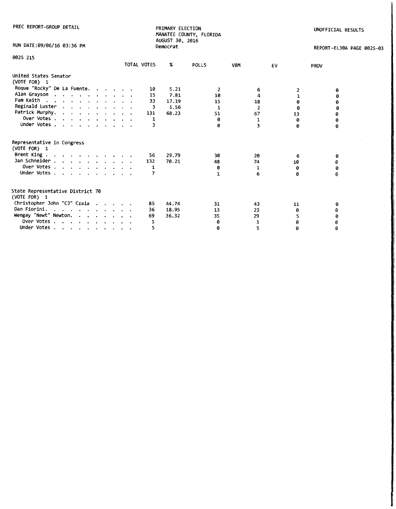| PREC REPORT-GROUP DETAIL                         |             | PRIMARY ELECTION<br>AUGUST 30, 2016 | MANATEE COUNTY, FLORIDA |                |    | UNOFFICIAL RESULTS        |
|--------------------------------------------------|-------------|-------------------------------------|-------------------------|----------------|----|---------------------------|
| RUN DATE:09/06/16 03:36 PM                       |             | Democrat                            |                         |                |    | REPORT-EL30A PAGE 0025-03 |
| 0025 215                                         |             |                                     |                         |                |    |                           |
|                                                  | TOTAL VOTES | $\boldsymbol{\mathsf{x}}$           | POLLS                   | <b>VBM</b>     | EV | <b>PROV</b>               |
| United States Senator<br>(VOTE FOR) 1            |             |                                     |                         |                |    |                           |
| Roque "Rocky" De La Fuente.                      |             | 5.21<br>10                          | 2                       | 6              |    | ø                         |
| Alan Grayson                                     |             | 15<br>7.81                          | 10                      | 4              |    | 0                         |
| Pam Keith                                        |             | 33<br>17.19                         | 15                      | 18             | 0  | 0                         |
| Reginald Luster                                  |             | 1.56<br>3                           | 1                       | $\overline{2}$ | 0  | ø                         |
| Patrick Murphy.                                  | 131         | 68.23                               | 51                      | 67             | 13 | 0                         |
| Over Votes                                       |             | 1                                   | ø                       | 1              | 0  | 0                         |
| Under Votes                                      |             | з                                   | a                       | 3              | Ø  | 0                         |
| Representative in Congress<br>(VOTE FOR) 1       |             |                                     |                         |                |    |                           |
| Brent King                                       |             | 56<br>29.79                         | 30                      | 20             | 6  | 0                         |
| Jan Schneider                                    | 132         | 70.21                               | 48                      | 74             | 10 | ø                         |
| Over Votes                                       |             | 1                                   | 0                       | 1              | 0  | 0                         |
| Under Votes                                      |             | 7                                   | $\mathbf{1}$            | 6              | 0  | 0                         |
| State Representative District 70<br>(VOTE FOR) 1 |             |                                     |                         |                |    |                           |
| Christopher John "CJ" Czaia                      |             | 85<br>44.74                         | 31                      | 43             | 11 | ø                         |
| Dan Fiorini.                                     |             | 18.95<br>36                         | 13                      | 23             | 0  | ø                         |
| Wengay "Newt" Newton.                            | 69          | 36.32                               | 35                      | 29             | 5  | ø                         |
| Over Votes                                       |             | 1                                   | 0                       | 1              | 0  |                           |
| Under Votes                                      |             | 5                                   | 0                       | 5              | 0  |                           |
|                                                  |             |                                     |                         |                |    | 0                         |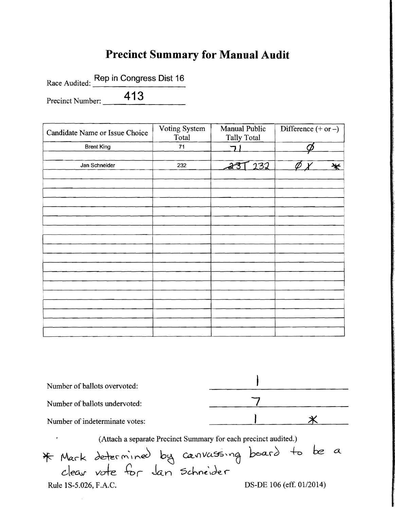## **Precinct Summary for Manual Audit**

Race Audited: Rep in Congress Dist 16

Precinct Number: 413

 $\hat{\boldsymbol{\theta}}$ 

| Candidate Name or Issue Choice | Voting System<br>Total | Manual Public<br><b>Tally Total</b> | Difference $(+ or -)$ |
|--------------------------------|------------------------|-------------------------------------|-----------------------|
| <b>Brent King</b>              | 71                     |                                     |                       |
|                                |                        |                                     |                       |
| Jan Schneider                  | 232                    | 232<br>à                            | ₩                     |
|                                |                        |                                     |                       |
|                                |                        |                                     |                       |
|                                |                        |                                     |                       |
|                                |                        |                                     |                       |
|                                |                        |                                     |                       |
|                                |                        |                                     |                       |
|                                |                        |                                     |                       |
|                                |                        |                                     |                       |
|                                |                        |                                     |                       |
|                                |                        |                                     |                       |
|                                |                        |                                     |                       |
|                                |                        |                                     |                       |
|                                |                        |                                     |                       |
|                                |                        |                                     |                       |
|                                |                        |                                     |                       |
|                                |                        |                                     |                       |
|                                |                        |                                     |                       |
|                                |                        |                                     |                       |

| Number of ballots overvoted:                                                                                           |                          |  |
|------------------------------------------------------------------------------------------------------------------------|--------------------------|--|
| Number of ballots undervoted:                                                                                          |                          |  |
| Number of indeterminate votes:                                                                                         |                          |  |
| (Attach a separate Precinct Summary for each precinct audited.)<br>r.<br>* Mark determined by canvassing board to be a |                          |  |
| Rule 1S-5.026, F.A.C.                                                                                                  | DS-DE 106 (eff. 01/2014) |  |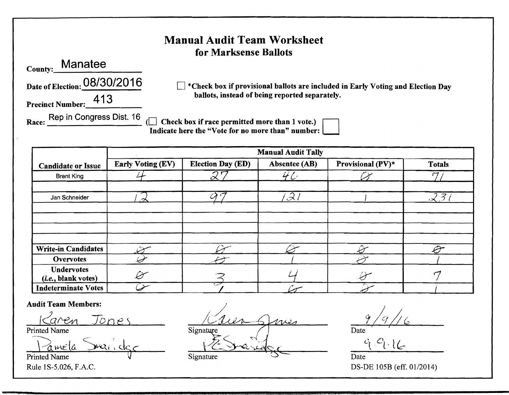| *Check box if provisional ballots are included in Early Voting and Election Day |
|---------------------------------------------------------------------------------|
|                                                                                 |
|                                                                                 |
| <b>Totals</b>                                                                   |
| r7                                                                              |
| り 孑                                                                             |
|                                                                                 |

Undervotes<br>(*i.e.*, blank votes)

Printed Name V Signature Signature Date

Audit Team Members:<br>*laren* Jones / *Luer Sures* 9/9 Printed Name Date Signature Signature  $\bigcap$  Date  $\frac{1}{2}$   $\frac{1}{2}$   $\frac{1}{2}$   $\frac{1}{2}$   $\frac{1}{2}$   $\frac{1}{2}$   $\frac{1}{2}$   $\frac{1}{2}$   $\frac{1}{2}$   $\frac{1}{2}$   $\frac{1}{2}$ 

Write-in Candidates  $\overline{C}$  U  $\overline{C}$  .  $\hat{C}$   $\overline{C}$ <u>Overvotes</u> <del>2</del>

 $\frac{1}{\text{the}}$ , blank votes) . The set of the set of the set of the set of the set of the set of the set of the set of the set of the set of the set of the set of the set of the set of the set of the set of the set of the s  $\frac{(i.e., blank votes)}{Index routes}$   $\frac{O}{O}$   $\frac{O}{O}$   $\frac{O}{O}$   $\frac{O}{O}$   $\frac{O}{O}$   $\frac{O}{O}$   $\frac{O}{O}$   $\frac{O}{O}$   $\frac{O}{O}$   $\frac{O}{O}$   $\frac{O}{O}$   $\frac{O}{O}$   $\frac{O}{O}$   $\frac{O}{O}$   $\frac{O}{O}$   $\frac{O}{O}$   $\frac{O}{O}$   $\frac{O}{O}$   $\frac{O}{O}$   $\frac{O}{O}$   $\frac{O$ 

*II*G

Rule 1S-5.026, F.A.C. DS-DE 105B (eff. 01/2014)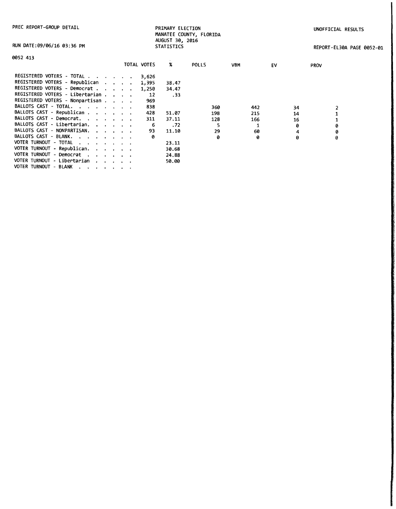|  |  |  |  | PREC REPORT-GROUP DETAIL |
|--|--|--|--|--------------------------|
|--|--|--|--|--------------------------|

PRIMARY ELECTION MANATEE COUNTY, FLORIDA AUGUST 30, 2016 UNOFFICIAL RESULTS

|  |  |  |  | RUN DATE:09/06/16 03:36 PM |  |
|--|--|--|--|----------------------------|--|
|--|--|--|--|----------------------------|--|

PAGE 0052-01

| RUN DATE:09/06/16 03:36 PM                                                                                                                                                                                                                                |             | <b>STATISTICS</b> |       |            |    | REPORT-EL30A |
|-----------------------------------------------------------------------------------------------------------------------------------------------------------------------------------------------------------------------------------------------------------|-------------|-------------------|-------|------------|----|--------------|
| 0052 413                                                                                                                                                                                                                                                  |             |                   |       |            |    |              |
|                                                                                                                                                                                                                                                           | TOTAL VOTES | X                 | POLLS | <b>VBM</b> | EV | <b>PROV</b>  |
| REGISTERED VOTERS - TOTAL                                                                                                                                                                                                                                 | 3,626       |                   |       |            |    |              |
| REGISTERED VOTERS - Republican                                                                                                                                                                                                                            | 1,395       | 38.47             |       |            |    |              |
| REGISTERED VOTERS - Democrat                                                                                                                                                                                                                              | 1,250       | 34.47             |       |            |    |              |
| REGISTERED VOTERS - Libertarian                                                                                                                                                                                                                           | 12          | .33               |       |            |    |              |
| REGISTERED VOTERS - Nonpartisan                                                                                                                                                                                                                           | 969         |                   |       |            |    |              |
| BALLOTS CAST - TOTAL.                                                                                                                                                                                                                                     | 838         |                   | 360   | 442        | 34 |              |
| BALLOTS CAST - Republican                                                                                                                                                                                                                                 | 428         | 51.07             | 198   | 215        | 14 |              |
| BALLOTS CAST - Democrat.                                                                                                                                                                                                                                  | 311         | 37.11             | 128   | 166        | 16 |              |
| BALLOTS CAST - Libertarian.<br><b><i>Contract Contract Artist</i></b>                                                                                                                                                                                     |             | .72<br>6          |       |            | ø  | 0            |
| BALLOTS CAST - NONPARTISAN.                                                                                                                                                                                                                               | 93          | 11.10             | 29    | 60         | 4  | 0            |
| BALLOTS CAST - BLANK,<br>contract and a state of the state of                                                                                                                                                                                             |             | ø                 | ø     | 0          | ø  | ø            |
| VOTER TURNOUT - TOTAL<br>المناطر المناطر المناطر المناطر                                                                                                                                                                                                  |             | 23.11             |       |            |    |              |
| VOTER TURNOUT - Republican.                                                                                                                                                                                                                               |             | 30.68             |       |            |    |              |
| VOTER TURNOUT - Democrat<br>$\mathbf{u} = \mathbf{u} + \mathbf{u} + \mathbf{u} + \mathbf{u} + \mathbf{u}$                                                                                                                                                 |             | 24.88             |       |            |    |              |
| VOTER TURNOUT - Libertarian                                                                                                                                                                                                                               |             | 50.00             |       |            |    |              |
| VOTER TURNOUT - BLANK<br>$\mathbf{A} = \left\{ \mathbf{A} \right\} \left( \mathbf{A} \right) \left( \mathbf{A} \right) \left( \mathbf{A} \right) \left( \mathbf{A} \right) \left( \mathbf{A} \right) \left( \mathbf{A} \right) \left( \mathbf{A} \right)$ |             |                   |       |            |    |              |
|                                                                                                                                                                                                                                                           |             |                   |       |            |    |              |